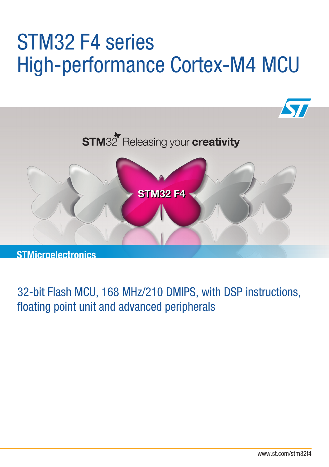# STM32 F4 series High-performance Cortex-M4 MCU



32-bit Flash MCU, 168 MHz/210 DMIPS, with DSP instructions, floating point unit and advanced peripherals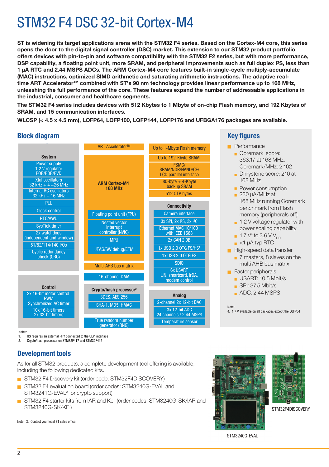## STM32 F4 DSC 32-bit Cortex-M4

**ST is widening its target applications arena with the STM32 F4 series. Based on the Cortex-M4 core, this series opens the door to the digital signal controller (DSC) market. This extension to our STM32 product portfolio offers devices with pin-to-pin and software compatibility with the STM32 F2 series, but with more performance, DSP capability, a floating point unit, more SRAM, and peripheral improvements such as full duplex I²S, less than 1 µA RTC and 2.44 MSPS ADCs. The ARM Cortex-M4 core features built-in single-cycle multiply-accumulate (MAC) instructions, optimized SIMD arithmetic and saturating arithmetic instructions. The adaptive real**time ART Accelerator<sup>™</sup> combined with ST's 90 nm technology provides linear performance up to 168 MHz, **unleashing the full performance of the core. These features expand the number of addressable applications in the industrial, consumer and healthcare segments.**

**The STM32 F4 series includes devices with 512 Kbytes to 1 Mbyte of on-chip Flash memory, and 192 Kbytes of SRAM, and 15 communication interfaces.**

**WLCSP (< 4.5 x 4.5 mm), LQFP64, LQFP100, LQFP144, LQFP176 and UFBGA176 packages are available.**

### **Block diagram Block diagram**

|                                                     | <b>ART Accelerator™</b>                | Up to 1-Mbyte Flash memory                                                                         |  |  |  |  |
|-----------------------------------------------------|----------------------------------------|----------------------------------------------------------------------------------------------------|--|--|--|--|
| <b>System</b>                                       |                                        | Up to 192-Kbyte SRAM                                                                               |  |  |  |  |
| Power supply<br>1.2 V regulator<br>POR/PDR/PVD      |                                        | FSMC/<br>SRAM/NOR/NAND/CF/<br><b>LCD</b> parallel interface<br>$80$ -byte + 4-Kbyte<br>backup SRAM |  |  |  |  |
| <b>Xtal oscillators</b><br>32 kHz + 4 $\sim$ 26 MHz | <b>ARM Cortex-M4</b><br><b>168 MHz</b> |                                                                                                    |  |  |  |  |
| <b>Internal RC oscillators</b><br>32 kHz + 16 MHz   |                                        | 512 OTP bytes                                                                                      |  |  |  |  |
| PLL                                                 |                                        | <b>Connectivity</b>                                                                                |  |  |  |  |
| Clock control                                       | Floating point unit (FPU)              | Camera interface                                                                                   |  |  |  |  |
| <b>RTC/AWU</b>                                      | <b>Nested vector</b>                   | 3x SPI, 2x I <sup>2</sup> S, 3x I <sup>2</sup> C                                                   |  |  |  |  |
| <b>SysTick timer</b>                                | interrupt                              | Ethernet MAC 10/100                                                                                |  |  |  |  |
| 2x watchdogs                                        | controller (NVIC)                      | with IEEE 1588                                                                                     |  |  |  |  |
| (independent and window)                            | <b>MPU</b>                             | <b>2x CAN 2.0B</b>                                                                                 |  |  |  |  |
| 51/82/114/140 I/Os                                  | JTAG/SW debug/ETM                      | 1x USB 2.0 OTG FS/HS <sup>1</sup>                                                                  |  |  |  |  |
| <b>Cyclic redundancy</b><br>check (CRC)             |                                        | 1x USB 2.0 OTG FS                                                                                  |  |  |  |  |
|                                                     | <b>Multi-AHB bus matrix</b>            | <b>SDIO</b>                                                                                        |  |  |  |  |
|                                                     | 16-channel DMA                         | <b>6x USART</b><br>LIN, smartcard, IrDA,<br>modem control                                          |  |  |  |  |
| <b>Control</b>                                      | Crypto/hash processor <sup>2</sup>     |                                                                                                    |  |  |  |  |
| 2x 16-bit motor control<br><b>PWM</b>               | <b>3DES, AES 256</b>                   | Analog<br>2-channel 2x 12-bit DAC                                                                  |  |  |  |  |
| <b>Synchronized AC timer</b>                        | SHA-1, MD5, HMAC                       |                                                                                                    |  |  |  |  |
| 10x 16-bit timers<br>2x 32-bit timers               |                                        | 3x 12-bit ADC<br>24 channels / 2.44 MSPS                                                           |  |  |  |  |
|                                                     | True random number<br>generator (RNG)  | <b>Temperature sensor</b>                                                                          |  |  |  |  |

#### **Key figures**

**Performance** Coremark score: 363.17 at 168 MHz, Coremark/MHz: 2.162 Dhrystone score: 210 at 168 MHz **Power consumption**  $\overline{a}$  230 uA/MHz at 168 MHz running Coremark benchmark from Flash memory (peripherals off)  $\blacksquare$  1.2 V voltage regulator with power scaling capability  $\blacksquare$  1.7 V<sup>4</sup> to 3.6 V V<sub>DD</sub>  $\blacksquare$  <1 µA typ RTC **High-speed data transfer** <sup>Q</sup> 7 masters, 8 slaves on the multi AHB bus matrix  $\blacksquare$  Faster peripherals  $\blacksquare$  USART: 10.5 Mbit/s  $\overline{\phantom{a}}$  SPI: 37.5 Mbit/s  $\Box$  ADC: 2.44 MSPS

Note: 4. 1.7 V available on all packages except the LQFP64

Notes:

1. HS requires an external PHY connected to the ULPI interface

2. Crypto/hash processor on STM32F417 and STM32F415

#### **Development tools**

As for all STM32 products, a complete development tool offering is available, including the following dedicated kits.

- STM32 F4 Discovery kit (order code: STM32F4DISCOVERY)
- STM32 F4 evaluation board (order codes: STM3240G-EVAL and STM3241G-EVAL<sup>3</sup> for crypto support)
- STM32 F4 starter kits from IAR and Keil (order codes: STM3240G-SK/IAR and STM3240G-SK/KEI)

Note: 3. Contact your local ST sales office.





STM32F4DISCOVERY

STM3240G-EVAL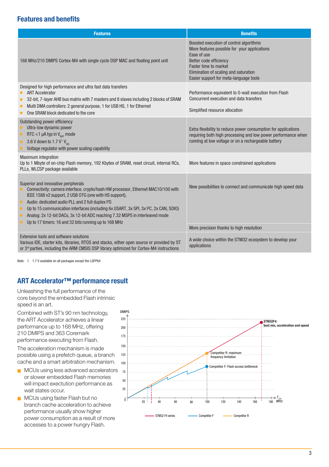#### **Features and benefits**

| <b>Features</b>                                                                                                                                                                                                                                                                                                                                                                                                                                                                                   | <b>Benefits</b>                                                                                                                                                                                                                                     |  |  |  |  |
|---------------------------------------------------------------------------------------------------------------------------------------------------------------------------------------------------------------------------------------------------------------------------------------------------------------------------------------------------------------------------------------------------------------------------------------------------------------------------------------------------|-----------------------------------------------------------------------------------------------------------------------------------------------------------------------------------------------------------------------------------------------------|--|--|--|--|
| 168 MHz/210 DMIPS Cortex-M4 with single cycle DSP MAC and floating point unit                                                                                                                                                                                                                                                                                                                                                                                                                     | Boosted execution of control algorithms<br>More features possible for your applications<br>Ease of use<br>Better code efficiency<br><b>Faster time to market</b><br>Elimination of scaling and saturation<br>Easier support for meta-language tools |  |  |  |  |
| Designed for high performance and ultra fast data transfers<br><b>ART Accelerator</b><br>32-bit, 7-layer AHB bus matrix with 7 masters and 8 slaves including 2 blocks of SRAM<br>Multi DMA controllers: 2 general purpose, 1 for USB HS, 1 for Ethernet<br>One SRAM block dedicated to the core                                                                                                                                                                                                  | Performance equivalent to 0-wait execution from Flash<br>Concurrent execution and data transfers<br>Simplified resource allocation                                                                                                                  |  |  |  |  |
| Outstanding power efficiency<br>Ultra-low dynamic power<br>RTC <1 $\mu$ A typ in V <sub>RAT</sub> mode<br>3.6 V down to 1.7 V <sup>1</sup> V <sub>nn</sub><br>Voltage regulator with power scaling capability                                                                                                                                                                                                                                                                                     | Extra flexibility to reduce power consumption for applications<br>requiring both high processing and low power performance when<br>running at low voltage or on a rechargeable battery                                                              |  |  |  |  |
| <b>Maximum integration</b><br>Up to 1 Mbyte of on-chip Flash memory, 192 Kbytes of SRAM, reset circuit, internal RCs,<br>PLLs, WLCSP package available                                                                                                                                                                                                                                                                                                                                            | More features in space constrained applications                                                                                                                                                                                                     |  |  |  |  |
| Superior and innovative peripherals<br>Connectivity: camera interface, crypto/hash HW processor, Ethernet MAC10/100 with<br>IEEE 1588 v2 support, 2 USB OTG (one with HS support),<br>Audio: dedicated audio PLL and 2 full duplex I <sup>2</sup> S<br>Up to 15 communication interfaces (including 6x USART, 3x SPI, 3x I <sup>2</sup> C, 2x CAN, SDIO)<br>Analog: 2x 12-bit DACs, 3x 12-bit ADC reaching 7.32 MSPS in interleaved mode<br>Up to 17 timers: 16 and 32 bits running up to 168 MHz | New possibilities to connect and communicate high speed data                                                                                                                                                                                        |  |  |  |  |
|                                                                                                                                                                                                                                                                                                                                                                                                                                                                                                   | More precision thanks to high resolution                                                                                                                                                                                                            |  |  |  |  |
| Extensive tools and software solutions<br>Various IDE, starter kits, libraries, RTOS and stacks, either open source or provided by ST<br>or 3 <sup>rd</sup> parties, including the ARM CMSIS DSP library optimized for Cortex-M4 instructions                                                                                                                                                                                                                                                     | A wide choice within the STM32 ecosystem to develop your<br>applications                                                                                                                                                                            |  |  |  |  |

Note: 1. 1.7 V available on all packages except the LQFP64

#### **ART Accelerator™ performance result**

Unleashing the full performance of the core beyond the embedded Flash intrinsic speed is an art.

Combined with ST's 90 nm technology, the ART Accelerator achieves a linear performance up to 168 MHz, offering 210 DMIPS and 363 Coremark performance executing from Flash.

The acceleration mechanism is made possible using a prefetch queue, a branch cache and a smart arbitration mechanism.

- MCUs using less advanced accelerators or slower embedded Flash memories will impact exectution performance as wait states occur.
- MCUs using faster Flash but no branch cache acceleration to achieve performance usually show higher power consumption as a result of more accesses to a power hungry Flash.